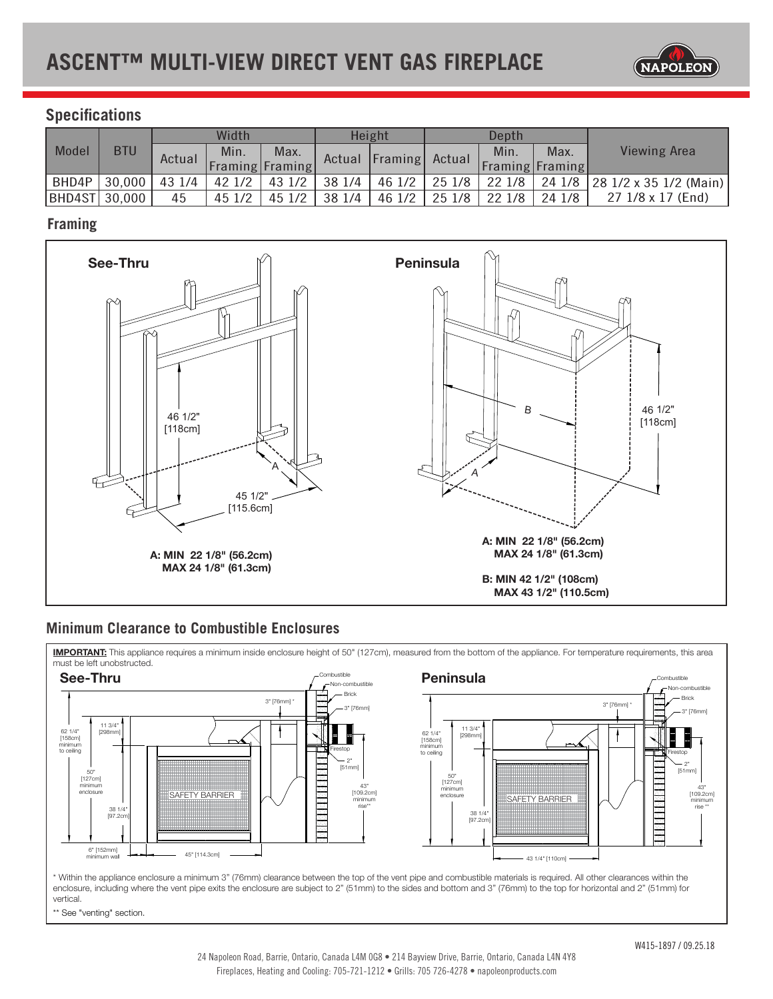

# **Specifications**

| Model          | <b>BTU</b> | Width  |        |                        | Height |                       | Depth  |                 |       |                               |
|----------------|------------|--------|--------|------------------------|--------|-----------------------|--------|-----------------|-------|-------------------------------|
|                |            | Actual | Min.   | Max.                   |        | Actual Framing Actual |        | Min.            | Max.  | <b>Viewing Area</b>           |
|                |            |        |        | <b>Framing Framing</b> |        |                       |        | Framing Framing |       |                               |
| BHD4P          | 30,000     | 43 1/4 | 42 1/2 | 431/2                  | 38 1/4 | 46 $1/2$              | 251/8  | 221/8           |       | 24 1/8 28 1/2 x 35 1/2 (Main) |
| BHD4ST  30,000 |            | 45     | 45 1/2 | 45 1/2                 | 38 1/4 | 46 1/2                | 25 1/8 | 22 1/8          | 241/8 | 27 1/8 x 17 (End)             |

## **Framing**



### **Minimum Clearance to Combustible Enclosures**

IMPORTANT: This appliance requires a minimum inside enclosure height of 50" (127cm), measured from the bottom of the appliance. For temperature requirements, this area must be left unobstructed.



enclosure, including where the vent pipe exits the enclosure are subject to 2" (51mm) to the sides and bottom and 3" (76mm) to the top for horizontal and 2" (51mm) for<br>vertical \* Within the appliance enclosure a minimum 3" (76mm) clearance between the top of the vent pipe and combustible materials is required. All other clearances within the vertical.

\*\* See "venting" section.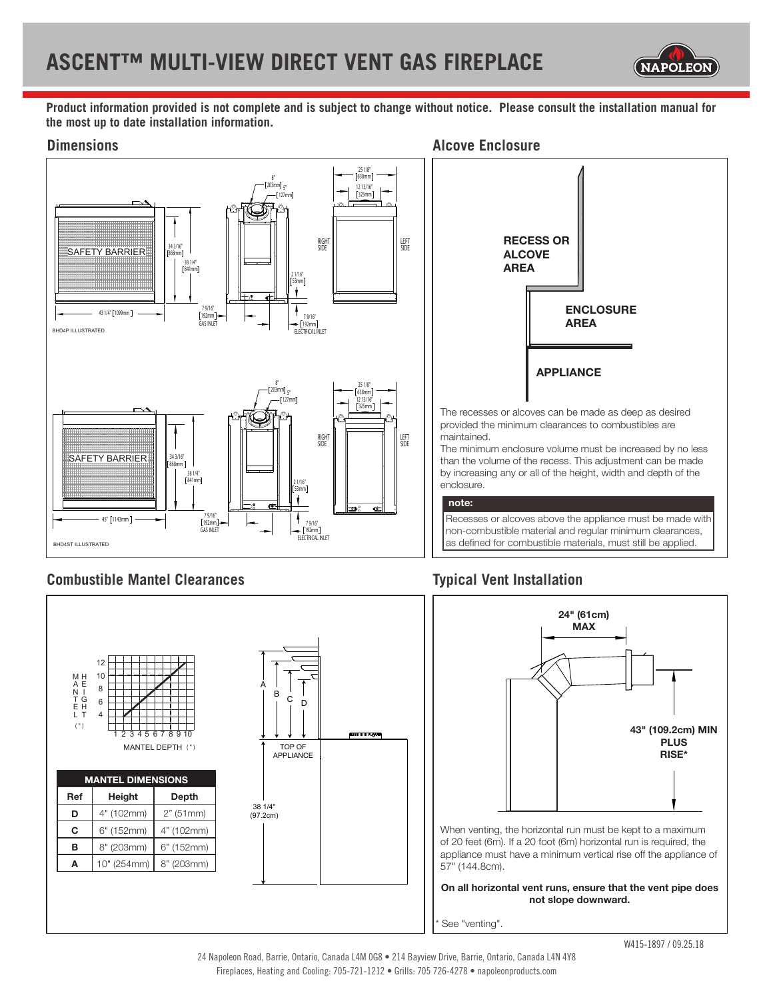

**Product information provided is not complete and is subject to change without notice. Please consult the installation manual for the most up to date installation information.**



# **Combustible Mantel Clearances Typical Vent Installation**

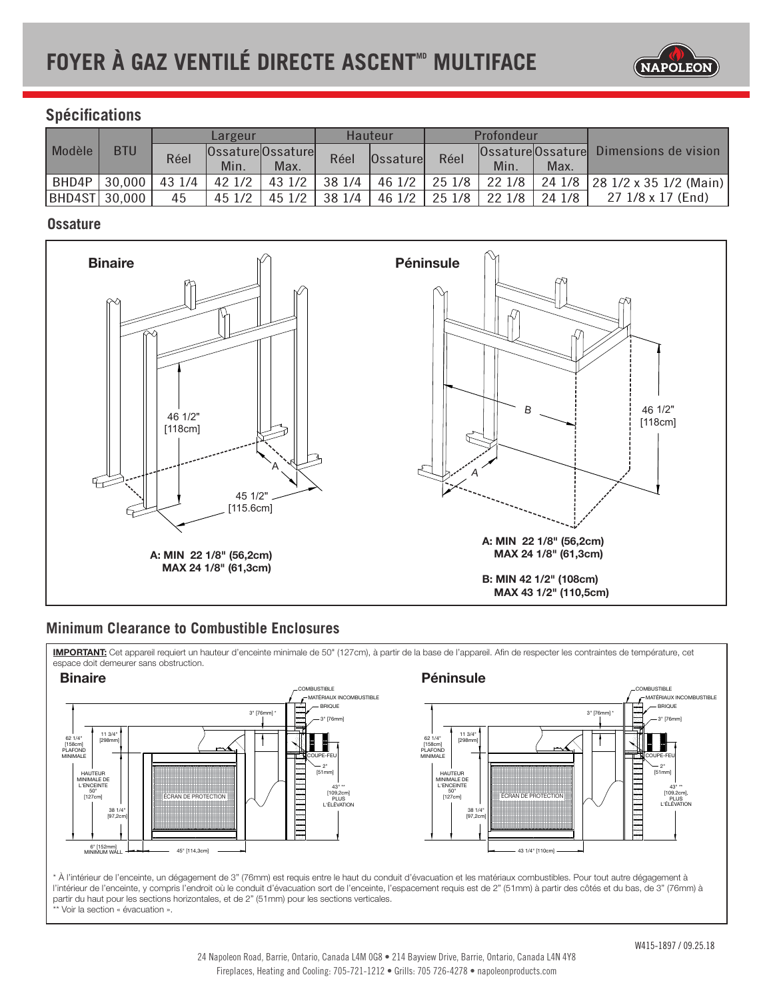

## **Spécifications**

| Modèle         | <b>BTU</b> | Largeur |        |                   | Hauteur |                  | Profondeur |        |        |                                        |
|----------------|------------|---------|--------|-------------------|---------|------------------|------------|--------|--------|----------------------------------------|
|                |            | Réel    |        | Ossature Ossature | Réel    | <b>Ossaturel</b> | Réel       |        |        | Ossature Ossature Dimensions de vision |
|                |            |         | Min.   | Max.              |         |                  |            | Min.   | Max.   |                                        |
| BHD4P          | 30,000     | 43 1/4  | 421/2  | 43 1/2            | 38 1/4  | 46 1/2           | 251/8      | 22 1/8 |        | 24 1/8 28 1/2 x 35 1/2 (Main)          |
| BHD4ST  30,000 |            | 45      | 45 1/2 | 45 1/2            | 38 1/4  | 46 1/2           | 251/8      | 22 1/8 | 24 1/8 | 27 1/8 x 17 (End)                      |

#### **Ossature**



### **Minimum Clearance to Combustible Enclosures**

11 3/4"

**IMPORTANT:** Cet appareil requiert un hauteur d'enceinte minimale de 50" (127cm), à partir de la base de l'appareil. Afin de respecter les contraintes de température, cet<br>espace deit demeurer sans obstruction espace doit demeurer sans obstruction.



\* À l'intérieur de l'enceinte, un dégagement de 3" (76mm) est requis entre le haut du conduit d'évacuation et les matériaux combustibles. Pour tout autre dégagement à l'intérieur de l'enceinte, y compris l'endroit où le conduit d'évacuation sort de l'enceinte, l'espacement requis est de 2" (51mm) à partir des côtés et du bas, de 3" (76mm) à partir du haut pour les sections horizontales, et de 2" (51mm) pour les sections verticales. \*\* Voir la section « évacuation ».